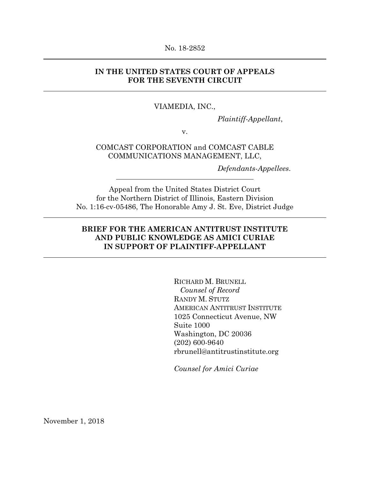#### No. 18-2852

## **IN THE UNITED STATES COURT OF APPEALS FOR THE SEVENTH CIRCUIT**

#### VIAMEDIA, INC.,

*Plaintiff-Appellant*,

v.

## COMCAST CORPORATION and COMCAST CABLE COMMUNICATIONS MANAGEMENT, LLC,

*Defendants-Appellees*.

Appeal from the United States District Court for the Northern District of Illinois, Eastern Division No. 1:16-cv-05486, The Honorable Amy J. St. Eve, District Judge

## **BRIEF FOR THE AMERICAN ANTITRUST INSTITUTE AND PUBLIC KNOWLEDGE AS AMICI CURIAE IN SUPPORT OF PLAINTIFF-APPELLANT**

RICHARD M. BRUNELL *Counsel of Record* RANDY M. STUTZ AMERICAN ANTITRUST INSTITUTE 1025 Connecticut Avenue, NW Suite 1000 Washington, DC 20036 (202) 600-9640 rbrunell@antitrustinstitute.org

*Counsel for Amici Curiae* 

November 1, 2018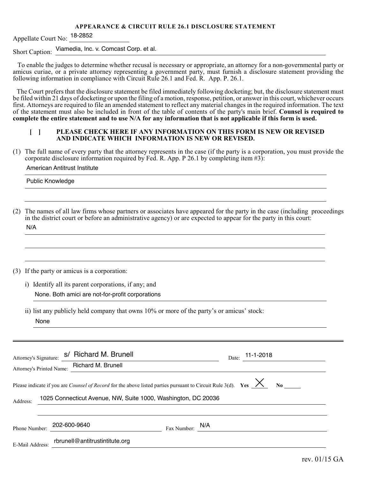#### **APPEARANCE & CIRCUIT RULE 26.1 DISCLOSURE STATEMENT**

Appellate Court No: <sup>18-2852</sup>

Short Caption: Viamedia, Inc. v. Comcast Corp. et al.

 To enable the judges to determine whether recusal is necessary or appropriate, an attorney for a non-governmental party or amicus curiae, or a private attorney representing a government party, must furnish a disclosure statement providing the following information in compliance with Circuit Rule 26.1 and Fed. R. App. P. 26.1.

The Court prefers that the disclosure statement be filed immediately following docketing; but, the disclosure statement must be filed within 21 days of docketing or upon the filing of a motion, response, petition, or answer in this court, whichever occurs first. Attorneys are required to file an amended statement to reflect any material changes in the required information. The text of the statement must also be included in front of the table of contents of the party's main brief. **Counsel is required to complete the entire statement and to use N/A for any information that is not applicable if this form is used.**

## **E I REASE CHECK HERE IF ANY INFORMATION ON THIS FORM IS NEW OR REVISED AND INDICATE WHICH INFORMATION IS NEW OR REVISED.**

(1) The full name of every party that the attorney represents in the case (if the party is a corporation, you must provide the corporate disclosure information required by Fed. R. App. P 26.1 by completing item #3):

#### American Antitrust Institute

Public Knowledge

| (2) The names of all law firms whose partners or associates have appeared for the party in the case (including proceedings |
|----------------------------------------------------------------------------------------------------------------------------|
| in the district court or before an administrative agency) or are expected to appear for the party in this court:           |
| N/A                                                                                                                        |

<u> 1989 - Johann Stoff, deutscher Stoff, der Stoff, der Stoff, der Stoff, der Stoff, der Stoff, der Stoff, der </u>

(3) If the party or amicus is a corporation:

i) Identify all its parent corporations, if any; and None. Both amici are not-for-profit corporations

ii) list any publicly held company that owns 10% or more of the party's or amicus' stock: None

| Attorney's Signature:<br>Attorney's Printed Name: | s/ Richard M. Brunell<br>Richard M. Brunell                                                                                                                                                    |                   | $11-1-2018$<br>Date: |
|---------------------------------------------------|------------------------------------------------------------------------------------------------------------------------------------------------------------------------------------------------|-------------------|----------------------|
| Address:                                          | Please indicate if you are <i>Counsel of Record</i> for the above listed parties pursuant to Circuit Rule 3(d). Yes $\chi$ No<br>1025 Connecticut Avenue, NW, Suite 1000, Washington, DC 20036 |                   |                      |
| Phone Number:                                     |                                                                                                                                                                                                | Fax Number: $N/A$ |                      |
| E-Mail Address:                                   | rbrunell@antitrustintitute.org                                                                                                                                                                 |                   |                      |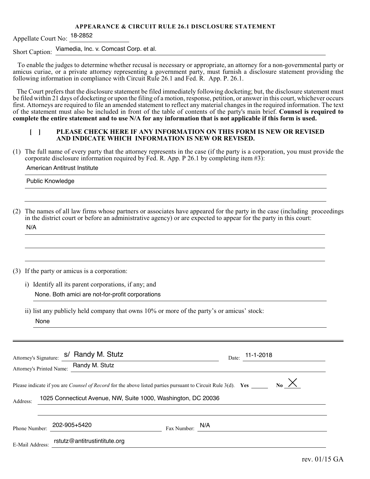#### **APPEARANCE & CIRCUIT RULE 26.1 DISCLOSURE STATEMENT**

Appellate Court No: <sup>18-2852</sup>

Short Caption: Viamedia, Inc. v. Comcast Corp. et al.

 To enable the judges to determine whether recusal is necessary or appropriate, an attorney for a non-governmental party or amicus curiae, or a private attorney representing a government party, must furnish a disclosure statement providing the following information in compliance with Circuit Rule 26.1 and Fed. R. App. P. 26.1.

The Court prefers that the disclosure statement be filed immediately following docketing; but, the disclosure statement must be filed within 21 days of docketing or upon the filing of a motion, response, petition, or answer in this court, whichever occurs first. Attorneys are required to file an amended statement to reflect any material changes in the required information. The text of the statement must also be included in front of the table of contents of the party's main brief. **Counsel is required to complete the entire statement and to use N/A for any information that is not applicable if this form is used.**

## **E I REASE CHECK HERE IF ANY INFORMATION ON THIS FORM IS NEW OR REVISED AND INDICATE WHICH INFORMATION IS NEW OR REVISED.**

(1) The full name of every party that the attorney represents in the case (if the party is a corporation, you must provide the corporate disclosure information required by Fed. R. App. P 26.1 by completing item #3):

#### American Antitrust Institute

Public Knowledge

| (2) The names of all law firms whose partners or associates have appeared for the party in the case (including proceedings |
|----------------------------------------------------------------------------------------------------------------------------|
| in the district court or before an administrative agency) or are expected to appear for the party in this court:           |
| N/A                                                                                                                        |

#### (3) If the party or amicus is a corporation:

i) Identify all its parent corporations, if any; and None. Both amici are not-for-profit corporations

ii) list any publicly held company that owns 10% or more of the party's or amicus' stock: None

| Attorney's Signature:<br>Attorney's Printed Name: | s/ Randy M. Stutz<br>Randy M. Stutz                                                                                                                                                  |             | 11-1-2018<br>Date:   |
|---------------------------------------------------|--------------------------------------------------------------------------------------------------------------------------------------------------------------------------------------|-------------|----------------------|
| Address:                                          | Please indicate if you are <i>Counsel of Record</i> for the above listed parties pursuant to Circuit Rule 3(d). Yes<br>1025 Connecticut Avenue, NW, Suite 1000, Washington, DC 20036 |             | $_{\text{No}}\times$ |
| Phone Number:<br>E-Mail Address:                  | 202-905+5420<br>rstutz@antitrustintitute.org                                                                                                                                         | Fax Number: | N/A                  |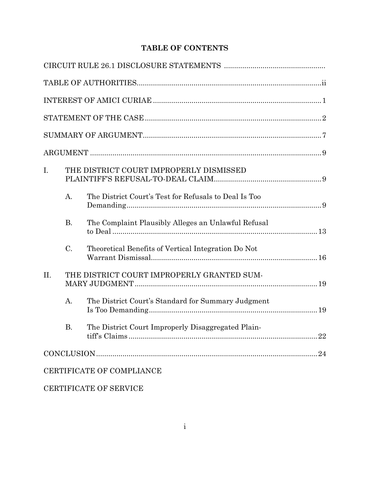# **TABLE OF CONTENTS**

| I.  |           | THE DISTRICT COURT IMPROPERLY DISMISSED               |    |
|-----|-----------|-------------------------------------------------------|----|
|     | A.        | The District Court's Test for Refusals to Deal Is Too |    |
|     | <b>B.</b> | The Complaint Plausibly Alleges an Unlawful Refusal   |    |
|     | C.        | Theoretical Benefits of Vertical Integration Do Not   |    |
| II. |           | THE DISTRICT COURT IMPROPERLY GRANTED SUM-            |    |
|     | A.        | The District Court's Standard for Summary Judgment    |    |
|     | <b>B.</b> | The District Court Improperly Disaggregated Plain-    |    |
|     |           |                                                       | 24 |
|     |           | CERTIFICATE OF COMPLIANCE                             |    |

# CERTIFICATE OF SERVICE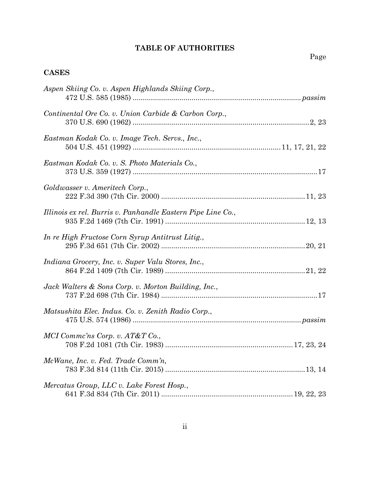# **TABLE OF AUTHORITIES**

# **CASES**

| Aspen Skiing Co. v. Aspen Highlands Skiing Corp.,           |
|-------------------------------------------------------------|
| Continental Ore Co. v. Union Carbide & Carbon Corp.,        |
| Eastman Kodak Co. v. Image Tech. Servs., Inc.,              |
| Eastman Kodak Co. v. S. Photo Materials Co.,                |
| Goldwasser v. Ameritech Corp.,                              |
| Illinois ex rel. Burris v. Panhandle Eastern Pipe Line Co., |
| In re High Fructose Corn Syrup Antitrust Litig.,            |
| Indiana Grocery, Inc. v. Super Valu Stores, Inc.,           |
| Jack Walters & Sons Corp. v. Morton Building, Inc.,         |
| Matsushita Elec. Indus. Co. v. Zenith Radio Corp.,          |
| MCI Commc'ns Corp. v. AT&T Co.,                             |
| McWane, Inc. v. Fed. Trade Comm'n,                          |
| Mercatus Group, LLC v. Lake Forest Hosp.,                   |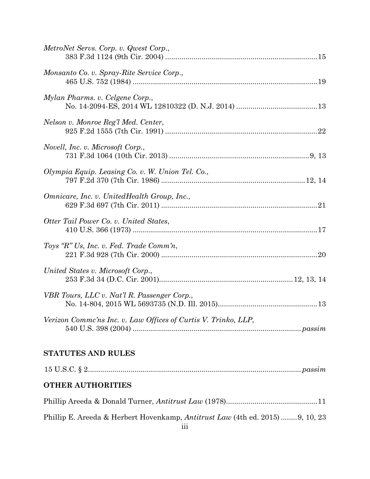# **STATUTES AND RULES**

| <b>OTHER AUTHORITIES</b>                                                             |  |
|--------------------------------------------------------------------------------------|--|
|                                                                                      |  |
| Phillip E. Areeda & Herbert Hovenkamp, <i>Antitrust Law</i> (4th ed. 2015) 9, 10, 23 |  |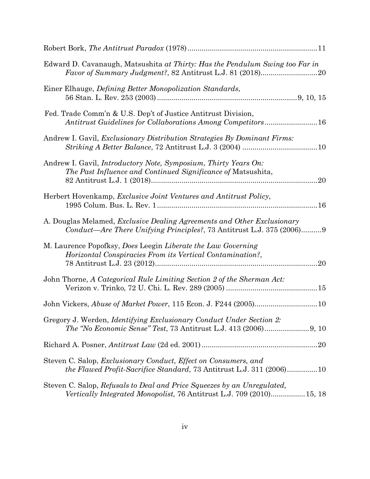| Edward D. Cavanaugh, Matsushita at Thirty: Has the Pendulum Swing too Far in                                                                                  |
|---------------------------------------------------------------------------------------------------------------------------------------------------------------|
| Einer Elhauge, <i>Defining Better Monopolization Standards</i> ,                                                                                              |
| Fed. Trade Comm'n & U.S. Dep't of Justice Antitrust Division,<br>Antitrust Guidelines for Collaborations Among Competitors16                                  |
| Andrew I. Gavil, <i>Exclusionary Distribution Strategies By Dominant Firms:</i>                                                                               |
| Andrew I. Gavil, <i>Introductory Note</i> , <i>Symposium</i> , <i>Thirty Years On:</i><br>The Past Influence and Continued Significance of Matsushita,<br>.20 |
| Herbert Hovenkamp, Exclusive Joint Ventures and Antitrust Policy,                                                                                             |
| A. Douglas Melamed, <i>Exclusive Dealing Agreements and Other Exclusionary</i><br>Conduct—Are There Unifying Principles?, 73 Antitrust L.J. 375 (2006)9       |
| M. Laurence Popofksy, Does Leegin Liberate the Law Governing<br>Horizontal Conspiracies From its Vertical Contamination?,<br>.20                              |
| John Thorne, A Categorical Rule Limiting Section 2 of the Sherman Act:                                                                                        |
|                                                                                                                                                               |
| Gregory J. Werden, <i>Identifying Exclusionary Conduct Under Section 2</i> :                                                                                  |
|                                                                                                                                                               |
| Steven C. Salop, <i>Exclusionary Conduct</i> , <i>Effect on Consumers</i> , and<br>the Flawed Profit-Sacrifice Standard, 73 Antitrust L.J. 311 (2006)10       |
| Steven C. Salop, Refusals to Deal and Price Squeezes by an Unregulated,<br>Vertically Integrated Monopolist, 76 Antitrust L.J. 709 (2010) 15, 18              |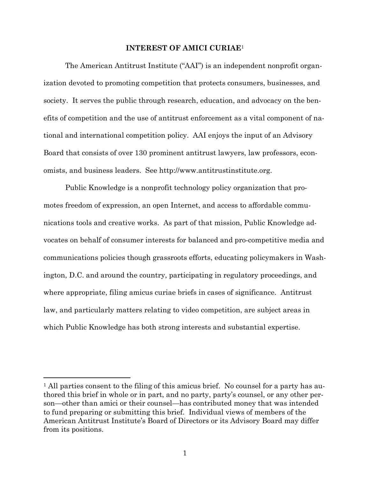#### **INTEREST OF AMICI CURIAE**<sup>1</sup>

The American Antitrust Institute ("AAI") is an independent nonprofit organization devoted to promoting competition that protects consumers, businesses, and society. It serves the public through research, education, and advocacy on the benefits of competition and the use of antitrust enforcement as a vital component of national and international competition policy. AAI enjoys the input of an Advisory Board that consists of over 130 prominent antitrust lawyers, law professors, economists, and business leaders. See http://www.antitrustinstitute.org.

Public Knowledge is a nonprofit technology policy organization that promotes freedom of expression, an open Internet, and access to affordable communications tools and creative works. As part of that mission, Public Knowledge advocates on behalf of consumer interests for balanced and pro-competitive media and communications policies though grassroots efforts, educating policymakers in Washington, D.C. and around the country, participating in regulatory proceedings, and where appropriate, filing amicus curiae briefs in cases of significance. Antitrust law, and particularly matters relating to video competition, are subject areas in which Public Knowledge has both strong interests and substantial expertise.

 $<sup>1</sup>$  All parties consent to the filing of this amicus brief. No counsel for a party has au-</sup> thored this brief in whole or in part, and no party, party's counsel, or any other person—other than amici or their counsel—has contributed money that was intended to fund preparing or submitting this brief. Individual views of members of the American Antitrust Institute's Board of Directors or its Advisory Board may differ from its positions.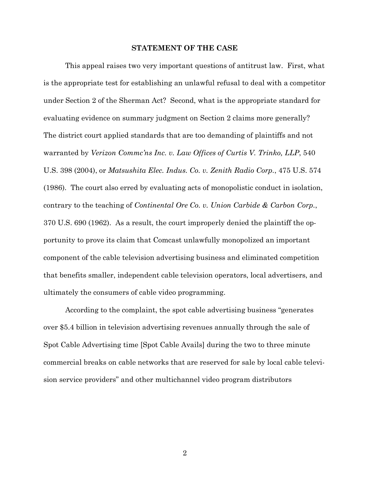#### **STATEMENT OF THE CASE**

This appeal raises two very important questions of antitrust law. First, what is the appropriate test for establishing an unlawful refusal to deal with a competitor under Section 2 of the Sherman Act? Second, what is the appropriate standard for evaluating evidence on summary judgment on Section 2 claims more generally? The district court applied standards that are too demanding of plaintiffs and not warranted by *Verizon Commc'ns Inc. v. Law Offices of Curtis V. Trinko, LLP*, 540 U.S. 398 (2004), or *Matsushita Elec. Indus. Co. v. Zenith Radio Corp.*, 475 U.S. 574 (1986). The court also erred by evaluating acts of monopolistic conduct in isolation, contrary to the teaching of *Continental Ore Co. v. Union Carbide & Carbon Corp.*, 370 U.S. 690 (1962). As a result, the court improperly denied the plaintiff the opportunity to prove its claim that Comcast unlawfully monopolized an important component of the cable television advertising business and eliminated competition that benefits smaller, independent cable television operators, local advertisers, and ultimately the consumers of cable video programming.

According to the complaint, the spot cable advertising business "generates over \$5.4 billion in television advertising revenues annually through the sale of Spot Cable Advertising time [Spot Cable Avails] during the two to three minute commercial breaks on cable networks that are reserved for sale by local cable television service providers" and other multichannel video program distributors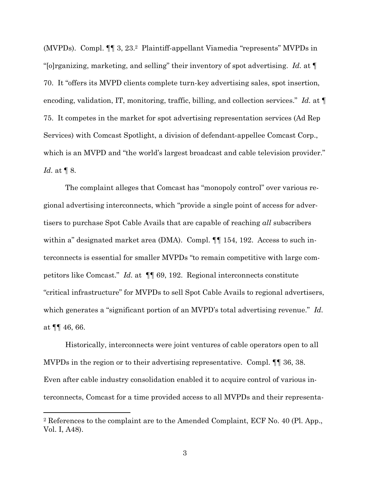(MVPDs). Compl. ¶¶ 3, 23.2 Plaintiff-appellant Viamedia "represents" MVPDs in "[o]rganizing, marketing, and selling" their inventory of spot advertising. *Id.* at ¶ 70. It "offers its MVPD clients complete turn-key advertising sales, spot insertion, encoding, validation, IT, monitoring, traffic, billing, and collection services." *Id.* at ¶ 75. It competes in the market for spot advertising representation services (Ad Rep Services) with Comcast Spotlight, a division of defendant-appellee Comcast Corp., which is an MVPD and "the world's largest broadcast and cable television provider." *Id.* at ¶ 8.

The complaint alleges that Comcast has "monopoly control" over various regional advertising interconnects, which "provide a single point of access for advertisers to purchase Spot Cable Avails that are capable of reaching *all* subscribers within a" designated market area (DMA). Compl.  $\P$  154, 192. Access to such interconnects is essential for smaller MVPDs "to remain competitive with large competitors like Comcast." *Id.* at ¶¶ 69, 192. Regional interconnects constitute "critical infrastructure" for MVPDs to sell Spot Cable Avails to regional advertisers, which generates a "significant portion of an MVPD's total advertising revenue." *Id.* at  $\P\P$  46, 66.

Historically, interconnects were joint ventures of cable operators open to all MVPDs in the region or to their advertising representative. Compl. ¶¶ 36, 38. Even after cable industry consolidation enabled it to acquire control of various interconnects, Comcast for a time provided access to all MVPDs and their representa-

<sup>2</sup> References to the complaint are to the Amended Complaint, ECF No. 40 (Pl. App., Vol. I, A48).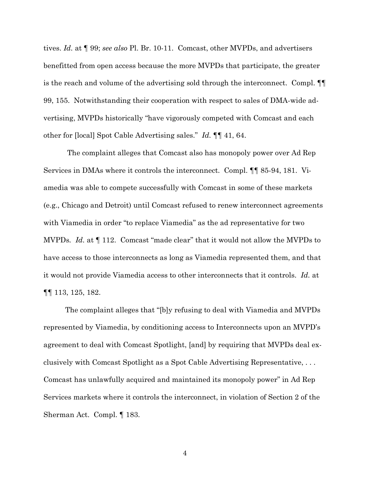tives. *Id.* at ¶ 99; *see also* Pl. Br. 10-11. Comcast, other MVPDs, and advertisers benefitted from open access because the more MVPDs that participate, the greater is the reach and volume of the advertising sold through the interconnect. Compl. ¶¶ 99, 155. Notwithstanding their cooperation with respect to sales of DMA-wide advertising, MVPDs historically "have vigorously competed with Comcast and each other for [local] Spot Cable Advertising sales." *Id.* ¶¶ 41, 64.

The complaint alleges that Comcast also has monopoly power over Ad Rep Services in DMAs where it controls the interconnect. Compl. ¶¶ 85-94, 181. Viamedia was able to compete successfully with Comcast in some of these markets (e.g., Chicago and Detroit) until Comcast refused to renew interconnect agreements with Viamedia in order "to replace Viamedia" as the ad representative for two MVPDs*. Id.* at ¶ 112. Comcast "made clear" that it would not allow the MVPDs to have access to those interconnects as long as Viamedia represented them, and that it would not provide Viamedia access to other interconnects that it controls. *Id.* at ¶¶ 113, 125, 182.

The complaint alleges that "[b]y refusing to deal with Viamedia and MVPDs represented by Viamedia, by conditioning access to Interconnects upon an MVPD's agreement to deal with Comcast Spotlight, [and] by requiring that MVPDs deal exclusively with Comcast Spotlight as a Spot Cable Advertising Representative, . . . Comcast has unlawfully acquired and maintained its monopoly power" in Ad Rep Services markets where it controls the interconnect, in violation of Section 2 of the Sherman Act. Compl. ¶ 183.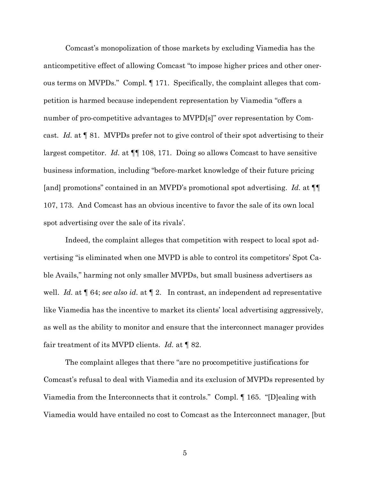Comcast's monopolization of those markets by excluding Viamedia has the anticompetitive effect of allowing Comcast "to impose higher prices and other onerous terms on MVPDs." Compl. ¶ 171. Specifically, the complaint alleges that competition is harmed because independent representation by Viamedia "offers a number of pro-competitive advantages to MVPD[s]" over representation by Comcast. *Id.* at ¶ 81. MVPDs prefer not to give control of their spot advertising to their largest competitor. *Id.* at ¶¶ 108, 171. Doing so allows Comcast to have sensitive business information, including "before-market knowledge of their future pricing [and] promotions" contained in an MVPD's promotional spot advertising. *Id.* at ¶¶ 107, 173. And Comcast has an obvious incentive to favor the sale of its own local spot advertising over the sale of its rivals'.

Indeed, the complaint alleges that competition with respect to local spot advertising "is eliminated when one MVPD is able to control its competitors' Spot Cable Avails," harming not only smaller MVPDs, but small business advertisers as well. *Id.* at ¶ 64; *see also id.* at ¶ 2. In contrast, an independent ad representative like Viamedia has the incentive to market its clients' local advertising aggressively, as well as the ability to monitor and ensure that the interconnect manager provides fair treatment of its MVPD clients. *Id.* at ¶ 82.

The complaint alleges that there "are no procompetitive justifications for Comcast's refusal to deal with Viamedia and its exclusion of MVPDs represented by Viamedia from the Interconnects that it controls." Compl. ¶ 165. "[D]ealing with Viamedia would have entailed no cost to Comcast as the Interconnect manager, [but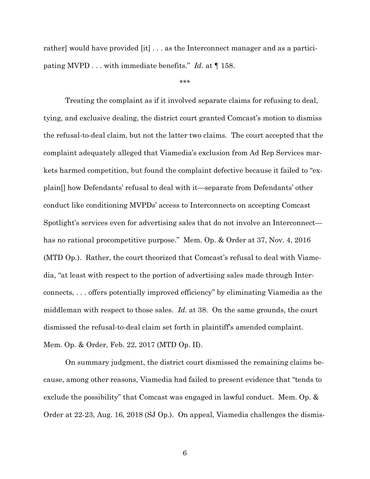rather] would have provided [it] . . . as the Interconnect manager and as a participating MVPD . . . with immediate benefits." *Id.* at ¶ 158.

\*\*\*

Treating the complaint as if it involved separate claims for refusing to deal, tying, and exclusive dealing, the district court granted Comcast's motion to dismiss the refusal-to-deal claim, but not the latter two claims. The court accepted that the complaint adequately alleged that Viamedia's exclusion from Ad Rep Services markets harmed competition, but found the complaint defective because it failed to "explain[] how Defendants' refusal to deal with it—separate from Defendants' other conduct like conditioning MVPDs' access to Interconnects on accepting Comcast Spotlight's services even for advertising sales that do not involve an Interconnect has no rational procompetitive purpose." Mem. Op. & Order at 37, Nov. 4, 2016 (MTD Op.). Rather, the court theorized that Comcast's refusal to deal with Viamedia, "at least with respect to the portion of advertising sales made through Interconnects, . . . offers potentially improved efficiency" by eliminating Viamedia as the middleman with respect to those sales. *Id.* at 38. On the same grounds, the court dismissed the refusal-to-deal claim set forth in plaintiff's amended complaint. Mem. Op. & Order, Feb. 22, 2017 (MTD Op. II).

On summary judgment, the district court dismissed the remaining claims because, among other reasons, Viamedia had failed to present evidence that "tends to exclude the possibility" that Comcast was engaged in lawful conduct. Mem. Op. & Order at 22-23, Aug. 16, 2018 (SJ Op.). On appeal, Viamedia challenges the dismis-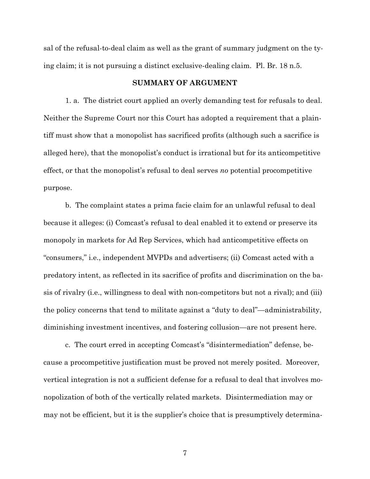sal of the refusal-to-deal claim as well as the grant of summary judgment on the tying claim; it is not pursuing a distinct exclusive-dealing claim. Pl. Br. 18 n.5.

#### **SUMMARY OF ARGUMENT**

1. a. The district court applied an overly demanding test for refusals to deal. Neither the Supreme Court nor this Court has adopted a requirement that a plaintiff must show that a monopolist has sacrificed profits (although such a sacrifice is alleged here), that the monopolist's conduct is irrational but for its anticompetitive effect, or that the monopolist's refusal to deal serves *no* potential procompetitive purpose.

b. The complaint states a prima facie claim for an unlawful refusal to deal because it alleges: (i) Comcast's refusal to deal enabled it to extend or preserve its monopoly in markets for Ad Rep Services, which had anticompetitive effects on "consumers," i.e., independent MVPDs and advertisers; (ii) Comcast acted with a predatory intent, as reflected in its sacrifice of profits and discrimination on the basis of rivalry (i.e., willingness to deal with non-competitors but not a rival); and (iii) the policy concerns that tend to militate against a "duty to deal"—administrability, diminishing investment incentives, and fostering collusion—are not present here.

c. The court erred in accepting Comcast's "disintermediation" defense, because a procompetitive justification must be proved not merely posited. Moreover, vertical integration is not a sufficient defense for a refusal to deal that involves monopolization of both of the vertically related markets. Disintermediation may or may not be efficient, but it is the supplier's choice that is presumptively determina-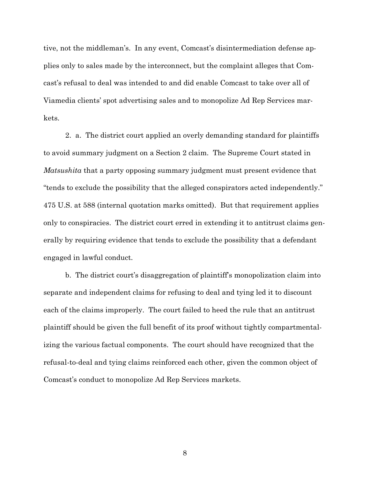tive, not the middleman's. In any event, Comcast's disintermediation defense applies only to sales made by the interconnect, but the complaint alleges that Comcast's refusal to deal was intended to and did enable Comcast to take over all of Viamedia clients' spot advertising sales and to monopolize Ad Rep Services markets.

2. a. The district court applied an overly demanding standard for plaintiffs to avoid summary judgment on a Section 2 claim. The Supreme Court stated in *Matsushita* that a party opposing summary judgment must present evidence that "tends to exclude the possibility that the alleged conspirators acted independently." 475 U.S. at 588 (internal quotation marks omitted). But that requirement applies only to conspiracies. The district court erred in extending it to antitrust claims generally by requiring evidence that tends to exclude the possibility that a defendant engaged in lawful conduct.

b. The district court's disaggregation of plaintiff's monopolization claim into separate and independent claims for refusing to deal and tying led it to discount each of the claims improperly. The court failed to heed the rule that an antitrust plaintiff should be given the full benefit of its proof without tightly compartmentalizing the various factual components. The court should have recognized that the refusal-to-deal and tying claims reinforced each other, given the common object of Comcast's conduct to monopolize Ad Rep Services markets.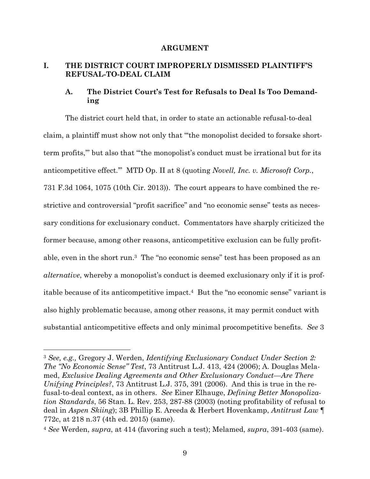#### **ARGUMENT**

## **I. THE DISTRICT COURT IMPROPERLY DISMISSED PLAINTIFF'S REFUSAL-TO-DEAL CLAIM**

## **A. The District Court's Test for Refusals to Deal Is Too Demanding**

The district court held that, in order to state an actionable refusal-to-deal claim, a plaintiff must show not only that "'the monopolist decided to forsake shortterm profits,'" but also that "'the monopolist's conduct must be irrational but for its anticompetitive effect.'" MTD Op. II at 8 (quoting *Novell, Inc. v. Microsoft Corp.*, 731 F.3d 1064, 1075 (10th Cir. 2013)). The court appears to have combined the restrictive and controversial "profit sacrifice" and "no economic sense" tests as necessary conditions for exclusionary conduct. Commentators have sharply criticized the former because, among other reasons, anticompetitive exclusion can be fully profitable, even in the short run.3 The "no economic sense" test has been proposed as an *alternative*, whereby a monopolist's conduct is deemed exclusionary only if it is profitable because of its anticompetitive impact.4 But the "no economic sense" variant is also highly problematic because, among other reasons, it may permit conduct with substantial anticompetitive effects and only minimal procompetitive benefits. *See* 3

<sup>3</sup> *See, e.g.,* Gregory J. Werden, *Identifying Exclusionary Conduct Under Section 2: The "No Economic Sense" Test*, 73 Antitrust L.J. 413, 424 (2006); A. Douglas Melamed, *Exclusive Dealing Agreements and Other Exclusionary Conduct—Are There Unifying Principles?*, 73 Antitrust L.J. 375, 391 (2006). And this is true in the refusal-to-deal context, as in others. *See* Einer Elhauge, *Defining Better Monopolization Standards*, 56 Stan. L. Rev. 253, 287-88 (2003) (noting profitability of refusal to deal in *Aspen Skiing*); 3B Phillip E. Areeda & Herbert Hovenkamp, *Antitrust Law* ¶ 772c, at 218 n.37 (4th ed. 2015) (same).

<sup>4</sup> *See* Werden, *supra*, at 414 (favoring such a test); Melamed, *supra*, 391-403 (same).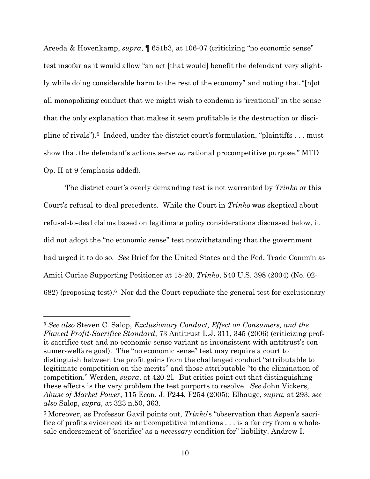Areeda & Hovenkamp, *supra*, ¶ 651b3, at 106-07 (criticizing "no economic sense" test insofar as it would allow "an act [that would] benefit the defendant very slightly while doing considerable harm to the rest of the economy" and noting that "[n]ot all monopolizing conduct that we might wish to condemn is 'irrational' in the sense that the only explanation that makes it seem profitable is the destruction or discipline of rivals").5 Indeed, under the district court's formulation, "plaintiffs . . . must show that the defendant's actions serve *no* rational procompetitive purpose." MTD Op. II at 9 (emphasis added).

The district court's overly demanding test is not warranted by *Trinko* or this Court's refusal-to-deal precedents. While the Court in *Trinko* was skeptical about refusal-to-deal claims based on legitimate policy considerations discussed below, it did not adopt the "no economic sense" test notwithstanding that the government had urged it to do so. *See* Brief for the United States and the Fed. Trade Comm'n as Amici Curiae Supporting Petitioner at 15-20, *Trinko*, 540 U.S. 398 (2004) (No. 02- 682) (proposing test).6 Nor did the Court repudiate the general test for exclusionary

<sup>5</sup> *See also* Steven C. Salop, *Exclusionary Conduct, Effect on Consumers, and the Flawed Profit-Sacrifice Standard*, 73 Antitrust L.J. 311, 345 (2006) (criticizing profit-sacrifice test and no-economic-sense variant as inconsistent with antitrust's consumer-welfare goal). The "no economic sense" test may require a court to distinguish between the profit gains from the challenged conduct "attributable to legitimate competition on the merits" and those attributable "to the elimination of competition." Werden, *supra*, at 420-2l. But critics point out that distinguishing these effects is the very problem the test purports to resolve. *See* John Vickers, *Abuse of Market Power*, 115 Econ. J. F244, F254 (2005); Elhauge, *supra*, at 293; *see also* Salop, *supra*, at 323 n.50, 363.

<sup>6</sup> Moreover, as Professor Gavil points out, *Trinko*'s "observation that Aspen's sacrifice of profits evidenced its anticompetitive intentions . . . is a far cry from a wholesale endorsement of 'sacrifice' as a *necessary* condition for" liability. Andrew I.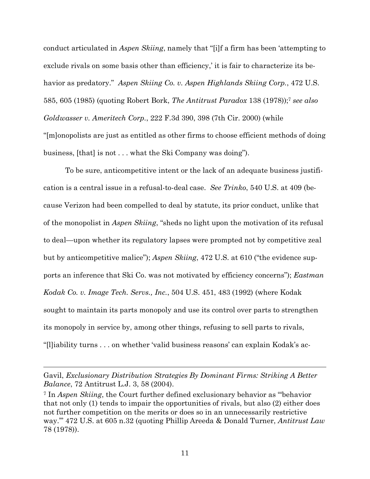conduct articulated in *Aspen Skiing*, namely that "[i]f a firm has been 'attempting to exclude rivals on some basis other than efficiency,' it is fair to characterize its behavior as predatory." *Aspen Skiing Co. v. Aspen Highlands Skiing Corp.*, 472 U.S. 585, 605 (1985) (quoting Robert Bork, *The Antitrust Paradox* 138 (1978)); <sup>7</sup> *see also Goldwasser v. Ameritech Corp.*, 222 F.3d 390, 398 (7th Cir. 2000) (while "[m]onopolists are just as entitled as other firms to choose efficient methods of doing business, [that] is not . . . what the Ski Company was doing").

To be sure, anticompetitive intent or the lack of an adequate business justification is a central issue in a refusal-to-deal case. *See Trinko*, 540 U.S. at 409 (because Verizon had been compelled to deal by statute, its prior conduct, unlike that of the monopolist in *Aspen Skiing*, "sheds no light upon the motivation of its refusal to deal—upon whether its regulatory lapses were prompted not by competitive zeal but by anticompetitive malice"); *Aspen Skiing*, 472 U.S. at 610 ("the evidence supports an inference that Ski Co. was not motivated by efficiency concerns"); *Eastman Kodak Co. v. Image Tech. Servs., Inc.*, 504 U.S. 451, 483 (1992) (where Kodak sought to maintain its parts monopoly and use its control over parts to strengthen its monopoly in service by, among other things, refusing to sell parts to rivals, "[l]iability turns . . . on whether 'valid business reasons' can explain Kodak's ac-

Gavil, *Exclusionary Distribution Strategies By Dominant Firms: Striking A Better Balance*, 72 Antitrust L.J. 3, 58 (2004).

<sup>7</sup> In *Aspen Skiing*, the Court further defined exclusionary behavior as "'behavior that not only (1) tends to impair the opportunities of rivals, but also (2) either does not further competition on the merits or does so in an unnecessarily restrictive way.'" 472 U.S. at 605 n.32 (quoting Phillip Areeda & Donald Turner, *Antitrust Law* 78 (1978)).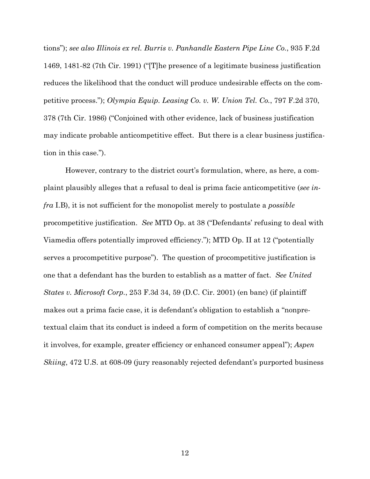tions"); *see also Illinois ex rel. Burris v. Panhandle Eastern Pipe Line Co.*, 935 F.2d 1469, 1481-82 (7th Cir. 1991) ("[T]he presence of a legitimate business justification reduces the likelihood that the conduct will produce undesirable effects on the competitive process."); *Olympia Equip. Leasing Co. v. W. Union Tel. Co.*, 797 F.2d 370, 378 (7th Cir. 1986) ("Conjoined with other evidence, lack of business justification may indicate probable anticompetitive effect. But there is a clear business justification in this case.").

However, contrary to the district court's formulation, where, as here, a complaint plausibly alleges that a refusal to deal is prima facie anticompetitive (*see infra* I.B), it is not sufficient for the monopolist merely to postulate a *possible* procompetitive justification. *See* MTD Op. at 38 ("Defendants' refusing to deal with Viamedia offers potentially improved efficiency."); MTD Op. II at 12 ("potentially serves a procompetitive purpose"). The question of procompetitive justification is one that a defendant has the burden to establish as a matter of fact. *See United States v. Microsoft Corp.*, 253 F.3d 34, 59 (D.C. Cir. 2001) (en banc) (if plaintiff makes out a prima facie case, it is defendant's obligation to establish a "nonpretextual claim that its conduct is indeed a form of competition on the merits because it involves, for example, greater efficiency or enhanced consumer appeal"); *Aspen Skiing*, 472 U.S. at 608-09 (jury reasonably rejected defendant's purported business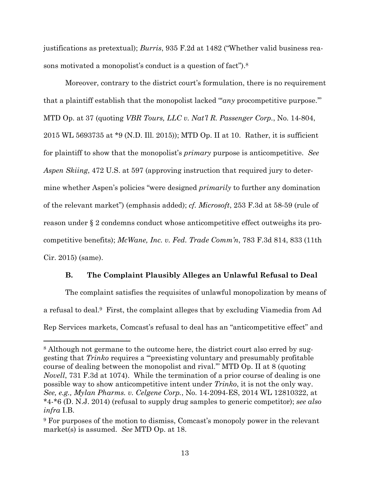justifications as pretextual); *Burris*, 935 F.2d at 1482 ("Whether valid business reasons motivated a monopolist's conduct is a question of fact").<sup>8</sup>

Moreover, contrary to the district court's formulation, there is no requirement that a plaintiff establish that the monopolist lacked "*any* procompetitive purpose." MTD Op. at 37 (quoting *VBR Tours, LLC v. Nat'l R. Passenger Corp.*, No. 14-804, 2015 WL 5693735 at \*9 (N.D. Ill. 2015)); MTD Op. II at 10. Rather, it is sufficient for plaintiff to show that the monopolist's *primary* purpose is anticompetitive. *See Aspen Skiing*, 472 U.S. at 597 (approving instruction that required jury to determine whether Aspen's policies "were designed *primarily* to further any domination of the relevant market") (emphasis added); *cf. Microsoft*, 253 F.3d at 58-59 (rule of reason under § 2 condemns conduct whose anticompetitive effect outweighs its procompetitive benefits); *McWane, Inc. v. Fed. Trade Comm'n*, 783 F.3d 814, 833 (11th Cir. 2015) (same).

#### **B. The Complaint Plausibly Alleges an Unlawful Refusal to Deal**

The complaint satisfies the requisites of unlawful monopolization by means of a refusal to deal.9 First, the complaint alleges that by excluding Viamedia from Ad Rep Services markets, Comcast's refusal to deal has an "anticompetitive effect" and

<sup>&</sup>lt;sup>8</sup> Although not germane to the outcome here, the district court also erred by suggesting that *Trinko* requires a "'preexisting voluntary and presumably profitable course of dealing between the monopolist and rival.'" MTD Op. II at 8 (quoting *Novell*, 731 F.3d at 1074). While the termination of a prior course of dealing is one possible way to show anticompetitive intent under *Trinko*, it is not the only way. *See, e.g., Mylan Pharms. v. Celgene Corp.*, No. 14-2094-ES, 2014 WL 12810322, at \*4-\*6 (D. N.J. 2014) (refusal to supply drug samples to generic competitor); *see also infra* I.B.

<sup>9</sup> For purposes of the motion to dismiss, Comcast's monopoly power in the relevant market(s) is assumed. *See* MTD Op. at 18.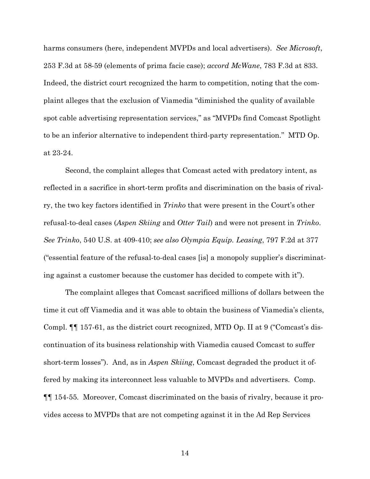harms consumers (here, independent MVPDs and local advertisers). *See Microsoft*, 253 F.3d at 58-59 (elements of prima facie case); *accord McWane*, 783 F.3d at 833. Indeed, the district court recognized the harm to competition, noting that the complaint alleges that the exclusion of Viamedia "diminished the quality of available spot cable advertising representation services," as "MVPDs find Comcast Spotlight to be an inferior alternative to independent third-party representation." MTD Op. at 23-24.

Second, the complaint alleges that Comcast acted with predatory intent, as reflected in a sacrifice in short-term profits and discrimination on the basis of rivalry, the two key factors identified in *Trinko* that were present in the Court's other refusal-to-deal cases (*Aspen Skiing* and *Otter Tail*) and were not present in *Trinko*. *See Trinko*, 540 U.S. at 409-410; *see also Olympia Equip. Leasing*, 797 F.2d at 377 ("essential feature of the refusal-to-deal cases [is] a monopoly supplier's discriminating against a customer because the customer has decided to compete with it").

The complaint alleges that Comcast sacrificed millions of dollars between the time it cut off Viamedia and it was able to obtain the business of Viamedia's clients, Compl. ¶¶ 157-61, as the district court recognized, MTD Op. II at 9 ("Comcast's discontinuation of its business relationship with Viamedia caused Comcast to suffer short-term losses"). And, as in *Aspen Skiing*, Comcast degraded the product it offered by making its interconnect less valuable to MVPDs and advertisers. Comp. ¶¶ 154-55*.* Moreover, Comcast discriminated on the basis of rivalry, because it provides access to MVPDs that are not competing against it in the Ad Rep Services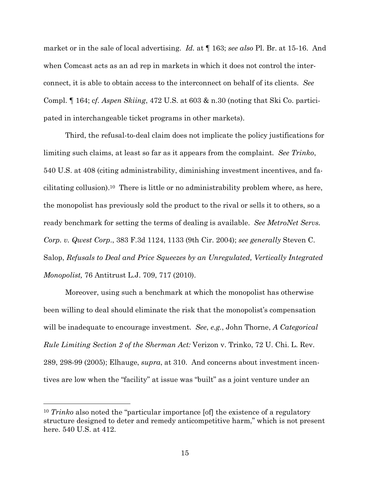market or in the sale of local advertising. *Id.* at ¶ 163; *see also* Pl. Br. at 15-16. And when Comcast acts as an ad rep in markets in which it does not control the interconnect, it is able to obtain access to the interconnect on behalf of its clients. *See*  Compl. ¶ 164; c*f. Aspen Skiing*, 472 U.S. at 603 & n.30 (noting that Ski Co. participated in interchangeable ticket programs in other markets).

Third, the refusal-to-deal claim does not implicate the policy justifications for limiting such claims, at least so far as it appears from the complaint. *See Trinko*, 540 U.S. at 408 (citing administrability, diminishing investment incentives, and facilitating collusion).10 There is little or no administrability problem where, as here, the monopolist has previously sold the product to the rival or sells it to others, so a ready benchmark for setting the terms of dealing is available. *See MetroNet Servs. Corp. v. Qwest Corp*., 383 F.3d 1124, 1133 (9th Cir. 2004); *see generally* Steven C. Salop, *Refusals to Deal and Price Squeezes by an Unregulated, Vertically Integrated Monopolist,* 76 Antitrust L.J. 709, 717 (2010).

Moreover, using such a benchmark at which the monopolist has otherwise been willing to deal should eliminate the risk that the monopolist's compensation will be inadequate to encourage investment. *See*, *e.g.*, John Thorne, *A Categorical Rule Limiting Section 2 of the Sherman Act:* Verizon v. Trinko, 72 U. Chi. L. Rev. 289, 298-99 (2005); Elhauge, *supra*, at 310. And concerns about investment incentives are low when the "facility" at issue was "built" as a joint venture under an

<sup>10</sup> *Trinko* also noted the "particular importance [of] the existence of a regulatory structure designed to deter and remedy anticompetitive harm," which is not present here. 540 U.S. at 412.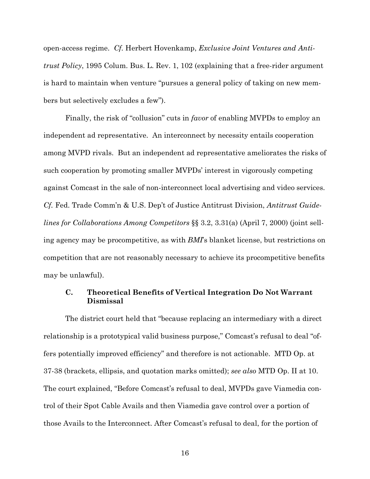open-access regime. *Cf.* Herbert Hovenkamp, *Exclusive Joint Ventures and Antitrust Policy*, 1995 Colum. Bus. L. Rev. 1, 102 (explaining that a free-rider argument is hard to maintain when venture "pursues a general policy of taking on new members but selectively excludes a few").

Finally, the risk of "collusion" cuts in *favor* of enabling MVPDs to employ an independent ad representative. An interconnect by necessity entails cooperation among MVPD rivals. But an independent ad representative ameliorates the risks of such cooperation by promoting smaller MVPDs' interest in vigorously competing against Comcast in the sale of non-interconnect local advertising and video services. *Cf.* Fed. Trade Comm'n & U.S. Dep't of Justice Antitrust Division, *Antitrust Guidelines for Collaborations Among Competitors* §§ 3.2, 3.31(a) (April 7, 2000) (joint selling agency may be procompetitive, as with *BMI*'s blanket license, but restrictions on competition that are not reasonably necessary to achieve its procompetitive benefits may be unlawful).

### **C. Theoretical Benefits of Vertical Integration Do Not Warrant Dismissal**

The district court held that "because replacing an intermediary with a direct relationship is a prototypical valid business purpose," Comcast's refusal to deal "offers potentially improved efficiency" and therefore is not actionable. MTD Op. at 37-38 (brackets, ellipsis, and quotation marks omitted); *see also* MTD Op. II at 10. The court explained, "Before Comcast's refusal to deal, MVPDs gave Viamedia control of their Spot Cable Avails and then Viamedia gave control over a portion of those Avails to the Interconnect. After Comcast's refusal to deal, for the portion of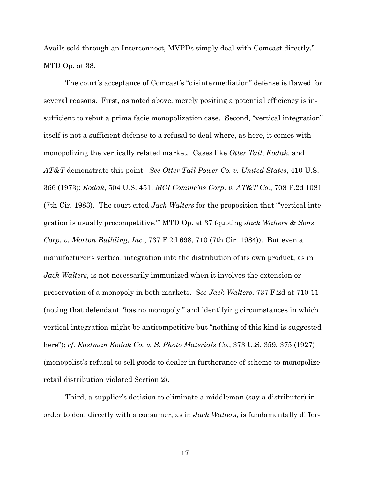Avails sold through an Interconnect, MVPDs simply deal with Comcast directly." MTD Op. at 38.

The court's acceptance of Comcast's "disintermediation" defense is flawed for several reasons. First, as noted above, merely positing a potential efficiency is insufficient to rebut a prima facie monopolization case. Second, "vertical integration" itself is not a sufficient defense to a refusal to deal where, as here, it comes with monopolizing the vertically related market. Cases like *Otter Tail*, *Kodak*, and *AT&T* demonstrate this point. *See Otter Tail Power Co. v. United States*, 410 U.S. 366 (1973); *Kodak*, 504 U.S. 451; *MCI Commc'ns Corp. v. AT&T Co.*, 708 F.2d 1081 (7th Cir. 1983). The court cited *Jack Walters* for the proposition that "'vertical integration is usually procompetitive.'" MTD Op. at 37 (quoting *Jack Walters & Sons Corp. v. Morton Building, Inc.*, 737 F.2d 698, 710 (7th Cir. 1984)). But even a manufacturer's vertical integration into the distribution of its own product, as in *Jack Walters*, is not necessarily immunized when it involves the extension or preservation of a monopoly in both markets. *See Jack Walters*, 737 F.2d at 710-11 (noting that defendant "has no monopoly," and identifying circumstances in which vertical integration might be anticompetitive but "nothing of this kind is suggested here"); *cf. Eastman Kodak Co. v. S. Photo Materials Co.*, 373 U.S. 359, 375 (1927) (monopolist's refusal to sell goods to dealer in furtherance of scheme to monopolize retail distribution violated Section 2).

Third, a supplier's decision to eliminate a middleman (say a distributor) in order to deal directly with a consumer, as in *Jack Walters*, is fundamentally differ-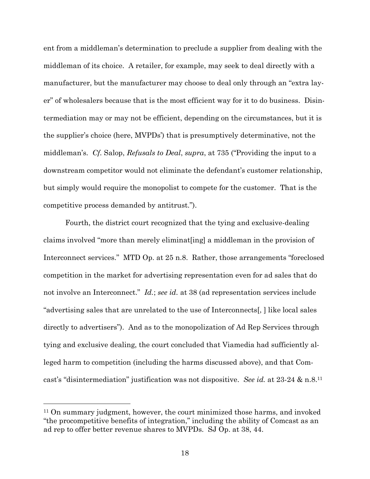ent from a middleman's determination to preclude a supplier from dealing with the middleman of its choice. A retailer, for example, may seek to deal directly with a manufacturer, but the manufacturer may choose to deal only through an "extra layer" of wholesalers because that is the most efficient way for it to do business. Disintermediation may or may not be efficient, depending on the circumstances, but it is the supplier's choice (here, MVPDs') that is presumptively determinative, not the middleman's. *Cf.* Salop, *Refusals to Deal*, *supra*, at 735 ("Providing the input to a downstream competitor would not eliminate the defendant's customer relationship, but simply would require the monopolist to compete for the customer. That is the competitive process demanded by antitrust.").

Fourth, the district court recognized that the tying and exclusive-dealing claims involved "more than merely eliminat[ing] a middleman in the provision of Interconnect services." MTD Op. at 25 n.8. Rather, those arrangements "foreclosed competition in the market for advertising representation even for ad sales that do not involve an Interconnect." *Id.*; *see id.* at 38 (ad representation services include "advertising sales that are unrelated to the use of Interconnects[, ] like local sales directly to advertisers"). And as to the monopolization of Ad Rep Services through tying and exclusive dealing, the court concluded that Viamedia had sufficiently alleged harm to competition (including the harms discussed above), and that Comcast's "disintermediation" justification was not dispositive. *See id.* at 23-24 & n.8.11

<sup>11</sup> On summary judgment, however, the court minimized those harms, and invoked "the procompetitive benefits of integration," including the ability of Comcast as an ad rep to offer better revenue shares to MVPDs. SJ Op. at 38, 44.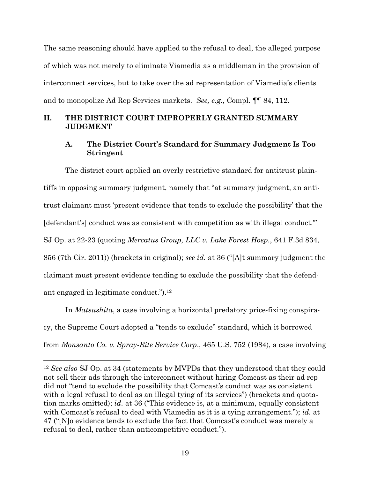The same reasoning should have applied to the refusal to deal, the alleged purpose of which was not merely to eliminate Viamedia as a middleman in the provision of interconnect services, but to take over the ad representation of Viamedia's clients and to monopolize Ad Rep Services markets. *See, e.g.,* Compl. ¶¶ 84, 112.

## **II. THE DISTRICT COURT IMPROPERLY GRANTED SUMMARY JUDGMENT**

## **A. The District Court's Standard for Summary Judgment Is Too Stringent**

The district court applied an overly restrictive standard for antitrust plaintiffs in opposing summary judgment, namely that "at summary judgment, an antitrust claimant must 'present evidence that tends to exclude the possibility' that the [defendant's] conduct was as consistent with competition as with illegal conduct.'" SJ Op. at 22-23 (quoting *Mercatus Group, LLC v. Lake Forest Hosp.*, 641 F.3d 834, 856 (7th Cir. 2011)) (brackets in original); *see id.* at 36 ("[A]t summary judgment the claimant must present evidence tending to exclude the possibility that the defendant engaged in legitimate conduct.").12

In *Matsushita*, a case involving a horizontal predatory price-fixing conspiracy, the Supreme Court adopted a "tends to exclude" standard, which it borrowed from *Monsanto Co. v. Spray-Rite Service Corp*., 465 U.S. 752 (1984), a case involving

<sup>12</sup> *See also* SJ Op. at 34 (statements by MVPDs that they understood that they could not sell their ads through the interconnect without hiring Comcast as their ad rep did not "tend to exclude the possibility that Comcast's conduct was as consistent with a legal refusal to deal as an illegal tying of its services") (brackets and quotation marks omitted); *id.* at 36 ("This evidence is, at a minimum, equally consistent with Comcast's refusal to deal with Viamedia as it is a tying arrangement."); *id.* at 47 ("[N]o evidence tends to exclude the fact that Comcast's conduct was merely a refusal to deal, rather than anticompetitive conduct.").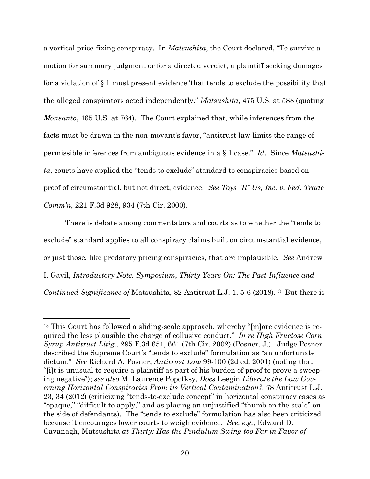a vertical price-fixing conspiracy. In *Matsushita*, the Court declared, "To survive a motion for summary judgment or for a directed verdict, a plaintiff seeking damages for a violation of § 1 must present evidence 'that tends to exclude the possibility that the alleged conspirators acted independently." *Matsushita*, 475 U.S. at 588 (quoting *Monsanto*, 465 U.S. at 764). The Court explained that, while inferences from the facts must be drawn in the non-movant's favor, "antitrust law limits the range of permissible inferences from ambiguous evidence in a § 1 case." *Id.* Since *Matsushita*, courts have applied the "tends to exclude" standard to conspiracies based on proof of circumstantial, but not direct, evidence. *See Toys "R" Us, Inc. v. Fed. Trade Comm'n*, 221 F.3d 928, 934 (7th Cir. 2000).

There is debate among commentators and courts as to whether the "tends to exclude" standard applies to all conspiracy claims built on circumstantial evidence, or just those, like predatory pricing conspiracies, that are implausible. *See* Andrew I. Gavil, *Introductory Note, Symposium*, *Thirty Years On: The Past Influence and Continued Significance of Matsushita, 82 Antitrust L.J. 1, 5-6 (2018).*<sup>13</sup> But there is

<sup>13</sup> This Court has followed a sliding-scale approach, whereby "[m]ore evidence is required the less plausible the charge of collusive conduct." *In re High Fructose Corn Syrup Antitrust Litig.*, 295 F.3d 651, 661 (7th Cir. 2002) (Posner, J.). Judge Posner described the Supreme Court's "tends to exclude" formulation as "an unfortunate dictum." *See* Richard A. Posner, *Antitrust Law* 99-100 (2d ed. 2001) (noting that "[i]t is unusual to require a plaintiff as part of his burden of proof to prove a sweeping negative"); *see also* M. Laurence Popofksy, *Does* Leegin *Liberate the Law Governing Horizontal Conspiracies From its Vertical Contamination?*, 78 Antitrust L.J. 23, 34 (2012) (criticizing "tends-to-exclude concept" in horizontal conspiracy cases as "opaque," "difficult to apply," and as placing an unjustified "thumb on the scale" on the side of defendants). The "tends to exclude" formulation has also been criticized because it encourages lower courts to weigh evidence. *See, e.g.,* Edward D. Cavanagh, Matsushita *at Thirty: Has the Pendulum Swing too Far in Favor of*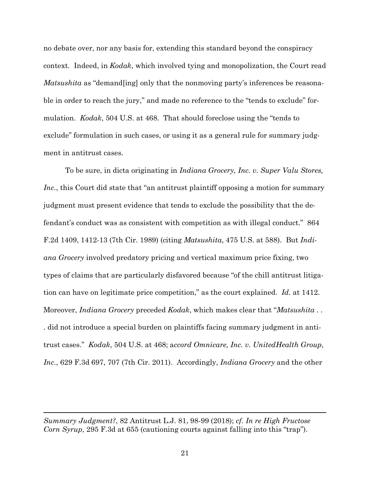no debate over, nor any basis for, extending this standard beyond the conspiracy context. Indeed, in *Kodak*, which involved tying and monopolization, the Court read *Matsushita* as "demand [ing] only that the nonmoving party's inferences be reasonable in order to reach the jury," and made no reference to the "tends to exclude" formulation. *Kodak*, 504 U.S. at 468. That should foreclose using the "tends to exclude" formulation in such cases, or using it as a general rule for summary judgment in antitrust cases.

To be sure, in dicta originating in *Indiana Grocery, Inc. v. Super Valu Stores, Inc.*, this Court did state that "an antitrust plaintiff opposing a motion for summary judgment must present evidence that tends to exclude the possibility that the defendant's conduct was as consistent with competition as with illegal conduct." 864 F.2d 1409, 1412-13 (7th Cir. 1989) (citing *Matsushita*, 475 U.S. at 588). But *Indiana Grocery* involved predatory pricing and vertical maximum price fixing, two types of claims that are particularly disfavored because "of the chill antitrust litigation can have on legitimate price competition," as the court explained. *Id.* at 1412. Moreover, *Indiana Grocery* preceded *Kodak*, which makes clear that "*Matsushita* . . . did not introduce a special burden on plaintiffs facing summary judgment in antitrust cases." *Kodak*, 504 U.S. at 468; a*ccord Omnicare, Inc. v. UnitedHealth Group, Inc.*, 629 F.3d 697, 707 (7th Cir. 2011). Accordingly, *Indiana Grocery* and the other

*Summary Judgment?*, 82 Antitrust L.J. 81, 98-99 (2018); *cf. In re High Fructose Corn Syrup*, 295 F.3d at 655 (cautioning courts against falling into this "trap").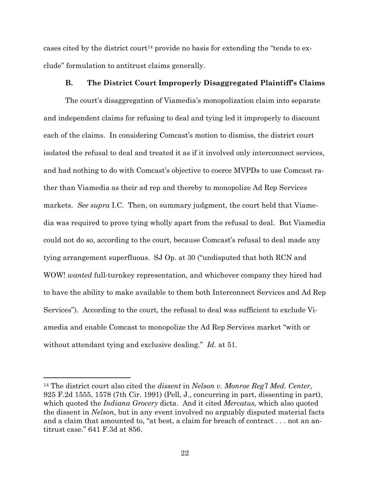cases cited by the district court<sup>14</sup> provide no basis for extending the "tends to exclude" formulation to antitrust claims generally.

### **B. The District Court Improperly Disaggregated Plaintiff's Claims**

The court's disaggregation of Viamedia's monopolization claim into separate and independent claims for refusing to deal and tying led it improperly to discount each of the claims. In considering Comcast's motion to dismiss, the district court isolated the refusal to deal and treated it as if it involved only interconnect services, and had nothing to do with Comcast's objective to coerce MVPDs to use Comcast rather than Viamedia as their ad rep and thereby to monopolize Ad Rep Services markets. *See supra* I.C. Then, on summary judgment, the court held that Viamedia was required to prove tying wholly apart from the refusal to deal. But Viamedia could not do so, according to the court, because Comcast's refusal to deal made any tying arrangement superfluous. SJ Op. at 30 ("undisputed that both RCN and WOW! *wanted* full-turnkey representation, and whichever company they hired had to have the ability to make available to them both Interconnect Services and Ad Rep Services"). According to the court, the refusal to deal was sufficient to exclude Viamedia and enable Comcast to monopolize the Ad Rep Services market "with or without attendant tying and exclusive dealing." *Id.* at 51.

<sup>14</sup> The district court also cited the *dissent* in *Nelson v. Monroe Reg'l Med. Center*, 925 F.2d 1555, 1578 (7th Cir. 1991) (Pell, J., concurring in part, dissenting in part), which quoted the *Indiana Grocery* dicta. And it cited *Mercatus,* which also quoted the dissent in *Nelson*, but in any event involved no arguably disputed material facts and a claim that amounted to, "at best, a claim for breach of contract . . . not an antitrust case." 641 F.3d at 856.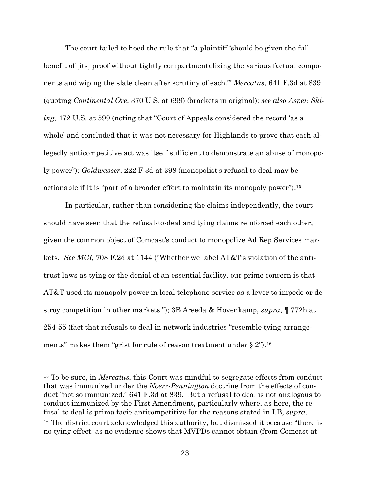The court failed to heed the rule that "a plaintiff 'should be given the full benefit of [its] proof without tightly compartmentalizing the various factual components and wiping the slate clean after scrutiny of each.'" *Mercatus*, 641 F.3d at 839 (quoting *Continental Ore*, 370 U.S. at 699) (brackets in original); *see also Aspen Skiing*, 472 U.S. at 599 (noting that "Court of Appeals considered the record 'as a whole' and concluded that it was not necessary for Highlands to prove that each allegedly anticompetitive act was itself sufficient to demonstrate an abuse of monopoly power"); *Goldwasser*, 222 F.3d at 398 (monopolist's refusal to deal may be actionable if it is "part of a broader effort to maintain its monopoly power").15

In particular, rather than considering the claims independently, the court should have seen that the refusal-to-deal and tying claims reinforced each other, given the common object of Comcast's conduct to monopolize Ad Rep Services markets. *See MCI*, 708 F.2d at 1144 ("Whether we label AT&T's violation of the antitrust laws as tying or the denial of an essential facility, our prime concern is that AT&T used its monopoly power in local telephone service as a lever to impede or destroy competition in other markets."); 3B Areeda & Hovenkamp, *supra*, ¶ 772h at 254-55 (fact that refusals to deal in network industries "resemble tying arrangements" makes them "grist for rule of reason treatment under  $\S 2$ ").<sup>16</sup>

<sup>15</sup> To be sure, in *Mercatus*, this Court was mindful to segregate effects from conduct that was immunized under the *Noerr-Pennington* doctrine from the effects of conduct "not so immunized." 641 F.3d at 839. But a refusal to deal is not analogous to conduct immunized by the First Amendment, particularly where, as here, the refusal to deal is prima facie anticompetitive for the reasons stated in I.B, *supra*. <sup>16</sup> The district court acknowledged this authority, but dismissed it because "there is no tying effect, as no evidence shows that MVPDs cannot obtain (from Comcast at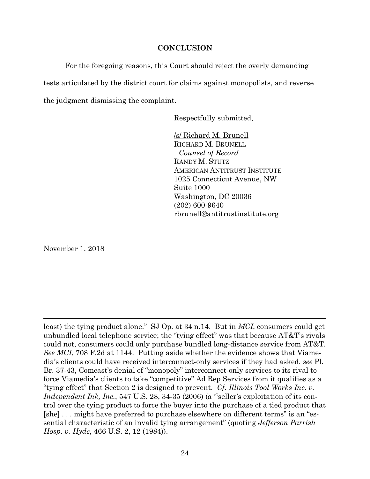### **CONCLUSION**

For the foregoing reasons, this Court should reject the overly demanding tests articulated by the district court for claims against monopolists, and reverse the judgment dismissing the complaint.

Respectfully submitted,

/s/ Richard M. Brunell RICHARD M. BRUNELL *Counsel of Record*  RANDY M. STUTZ AMERICAN ANTITRUST INSTITUTE 1025 Connecticut Avenue, NW Suite 1000 Washington, DC 20036 (202) 600-9640 rbrunell@antitrustinstitute.org

November 1, 2018

least) the tying product alone." SJ Op. at 34 n.14. But in *MCI*, consumers could get unbundled local telephone service; the "tying effect" was that because AT&T's rivals could not, consumers could only purchase bundled long-distance service from AT&T. *See MCI*, 708 F.2d at 1144. Putting aside whether the evidence shows that Viamedia's clients could have received interconnect-only services if they had asked, *see* Pl. Br. 37-43, Comcast's denial of "monopoly" interconnect-only services to its rival to force Viamedia's clients to take "competitive" Ad Rep Services from it qualifies as a "tying effect" that Section 2 is designed to prevent. *Cf. Illinois Tool Works Inc. v. Independent Ink, Inc.*, 547 U.S. 28, 34-35 (2006) (a "seller's exploitation of its control over the tying product to force the buyer into the purchase of a tied product that [she] . . . might have preferred to purchase elsewhere on different terms" is an "essential characteristic of an invalid tying arrangement" (quoting *Jefferson Parrish Hosp. v. Hyde*, 466 U.S. 2, 12 (1984)).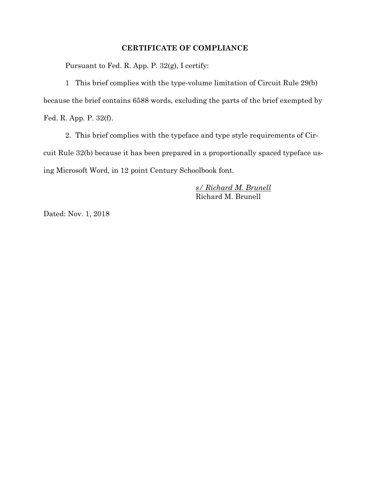### **CERTIFICATE OF COMPLIANCE**

Pursuant to Fed. R. App. P. 32(g), I certify:

1 This brief complies with the type-volume limitation of Circuit Rule 29(b) because the brief contains 6588 words, excluding the parts of the brief exempted by Fed. R. App. P. 32(f).

2. This brief complies with the typeface and type style requirements of Circuit Rule 32(b) because it has been prepared in a proportionally spaced typeface using Microsoft Word, in 12 point Century Schoolbook font.

> *s/ Richard M. Brunell*  Richard M. Brunell

Dated: Nov. 1, 2018